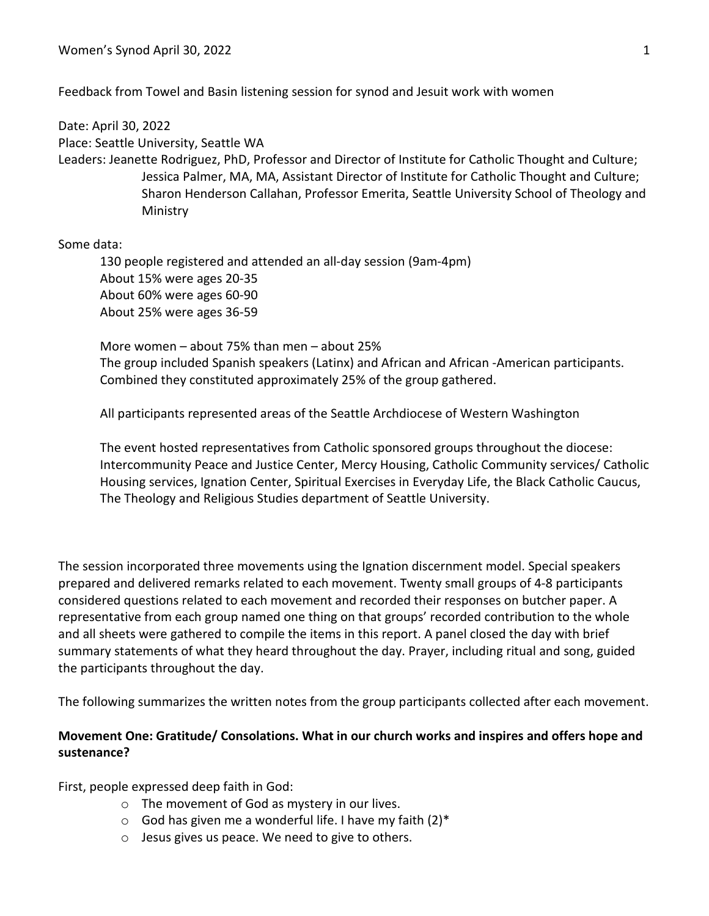Feedback from Towel and Basin listening session for synod and Jesuit work with women

Date: April 30, 2022

Place: Seattle University, Seattle WA

Leaders: Jeanette Rodriguez, PhD, Professor and Director of Institute for Catholic Thought and Culture; Jessica Palmer, MA, MA, Assistant Director of Institute for Catholic Thought and Culture; Sharon Henderson Callahan, Professor Emerita, Seattle University School of Theology and Ministry

Some data:

130 people registered and attended an all-day session (9am-4pm) About 15% were ages 20-35 About 60% were ages 60-90 About 25% were ages 36-59

More women – about 75% than men – about 25% The group included Spanish speakers (Latinx) and African and African -American participants. Combined they constituted approximately 25% of the group gathered.

All participants represented areas of the Seattle Archdiocese of Western Washington

The event hosted representatives from Catholic sponsored groups throughout the diocese: Intercommunity Peace and Justice Center, Mercy Housing, Catholic Community services/ Catholic Housing services, Ignation Center, Spiritual Exercises in Everyday Life, the Black Catholic Caucus, The Theology and Religious Studies department of Seattle University.

The session incorporated three movements using the Ignation discernment model. Special speakers prepared and delivered remarks related to each movement. Twenty small groups of 4-8 participants considered questions related to each movement and recorded their responses on butcher paper. A representative from each group named one thing on that groups' recorded contribution to the whole and all sheets were gathered to compile the items in this report. A panel closed the day with brief summary statements of what they heard throughout the day. Prayer, including ritual and song, guided the participants throughout the day.

The following summarizes the written notes from the group participants collected after each movement.

## **Movement One: Gratitude/ Consolations. What in our church works and inspires and offers hope and sustenance?**

First, people expressed deep faith in God:

- o The movement of God as mystery in our lives.
- $\circ$  God has given me a wonderful life. I have my faith (2)\*
- o Jesus gives us peace. We need to give to others.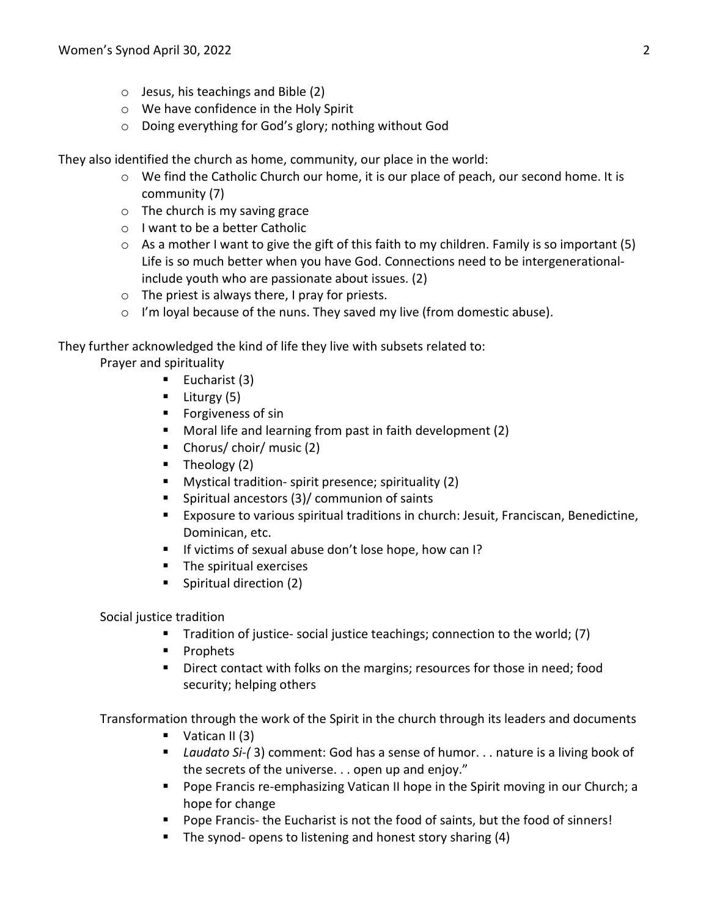- $\circ$  Jesus, his teachings and Bible (2)
- o We have confidence in the Holy Spirit
- o Doing everything for God's glory; nothing without God

They also identified the church as home, community, our place in the world:

- $\circ$  We find the Catholic Church our home, it is our place of peach, our second home. It is community (7)
- $\circ$  The church is my saving grace
- o I want to be a better Catholic
- $\circ$  As a mother I want to give the gift of this faith to my children. Family is so important (5) Life is so much better when you have God. Connections need to be intergenerationalinclude youth who are passionate about issues. (2)
- $\circ$  The priest is always there, I pray for priests.
- o I'm loyal because of the nuns. They saved my live (from domestic abuse).

They further acknowledged the kind of life they live with subsets related to:

Prayer and spirituality

- Eucharist  $(3)$
- $\blacksquare$  Liturgy (5)
- **Forgiveness of sin**
- Moral life and learning from past in faith development (2)
- Chorus/ choir/ music (2)
- $\blacksquare$  Theology (2)
- **Mystical tradition- spirit presence; spirituality (2)**
- Spiritual ancestors (3)/ communion of saints
- Exposure to various spiritual traditions in church: Jesuit, Franciscan, Benedictine, Dominican, etc.
- If victims of sexual abuse don't lose hope, how can I?
- **The spiritual exercises**
- **Spiritual direction (2)**

Social justice tradition

- **Tradition of justice- social justice teachings; connection to the world; (7)**
- **Prophets**
- **Direct contact with folks on the margins; resources for those in need; food** security; helping others

Transformation through the work of the Spirit in the church through its leaders and documents

- $\blacksquare$  Vatican II (3)
- *Laudato Si-(* 3) comment: God has a sense of humor. . . nature is a living book of the secrets of the universe. . . open up and enjoy."
- **Pope Francis re-emphasizing Vatican II hope in the Spirit moving in our Church; a** hope for change
- **Pope Francis- the Eucharist is not the food of saints, but the food of sinners!**
- The synod- opens to listening and honest story sharing (4)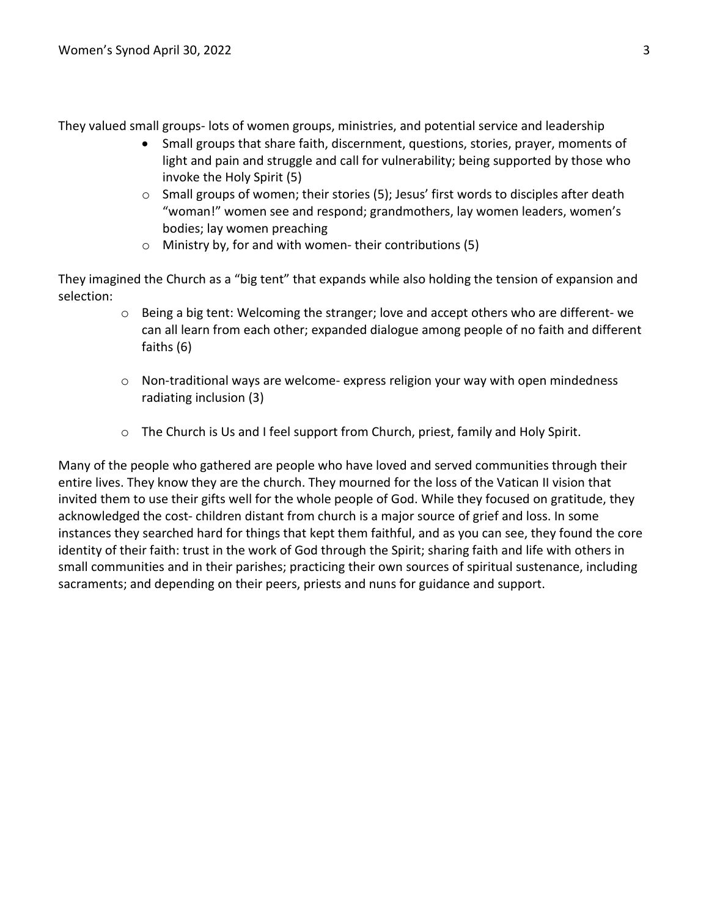They valued small groups- lots of women groups, ministries, and potential service and leadership

- Small groups that share faith, discernment, questions, stories, prayer, moments of light and pain and struggle and call for vulnerability; being supported by those who invoke the Holy Spirit (5)
- $\circ$  Small groups of women; their stories (5); Jesus' first words to disciples after death "woman!" women see and respond; grandmothers, lay women leaders, women's bodies; lay women preaching
- o Ministry by, for and with women- their contributions (5)

They imagined the Church as a "big tent" that expands while also holding the tension of expansion and selection:

- o Being a big tent: Welcoming the stranger; love and accept others who are different- we can all learn from each other; expanded dialogue among people of no faith and different faiths (6)
- $\circ$  Non-traditional ways are welcome- express religion your way with open mindedness radiating inclusion (3)
- o The Church is Us and I feel support from Church, priest, family and Holy Spirit.

Many of the people who gathered are people who have loved and served communities through their entire lives. They know they are the church. They mourned for the loss of the Vatican II vision that invited them to use their gifts well for the whole people of God. While they focused on gratitude, they acknowledged the cost- children distant from church is a major source of grief and loss. In some instances they searched hard for things that kept them faithful, and as you can see, they found the core identity of their faith: trust in the work of God through the Spirit; sharing faith and life with others in small communities and in their parishes; practicing their own sources of spiritual sustenance, including sacraments; and depending on their peers, priests and nuns for guidance and support.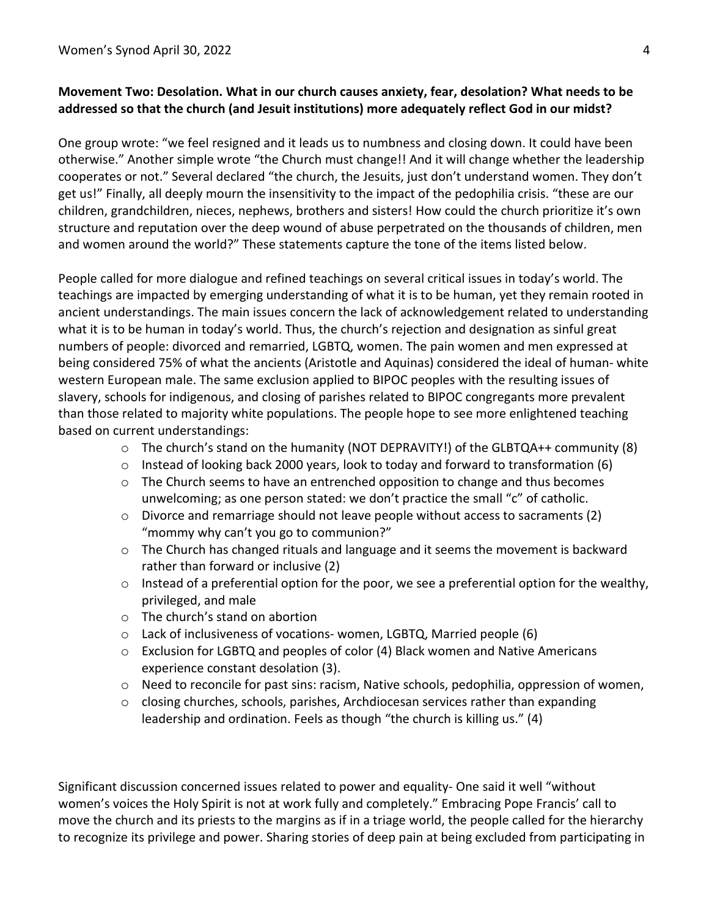## **Movement Two: Desolation. What in our church causes anxiety, fear, desolation? What needs to be addressed so that the church (and Jesuit institutions) more adequately reflect God in our midst?**

One group wrote: "we feel resigned and it leads us to numbness and closing down. It could have been otherwise." Another simple wrote "the Church must change!! And it will change whether the leadership cooperates or not." Several declared "the church, the Jesuits, just don't understand women. They don't get us!" Finally, all deeply mourn the insensitivity to the impact of the pedophilia crisis. "these are our children, grandchildren, nieces, nephews, brothers and sisters! How could the church prioritize it's own structure and reputation over the deep wound of abuse perpetrated on the thousands of children, men and women around the world?" These statements capture the tone of the items listed below.

People called for more dialogue and refined teachings on several critical issues in today's world. The teachings are impacted by emerging understanding of what it is to be human, yet they remain rooted in ancient understandings. The main issues concern the lack of acknowledgement related to understanding what it is to be human in today's world. Thus, the church's rejection and designation as sinful great numbers of people: divorced and remarried, LGBTQ, women. The pain women and men expressed at being considered 75% of what the ancients (Aristotle and Aquinas) considered the ideal of human- white western European male. The same exclusion applied to BIPOC peoples with the resulting issues of slavery, schools for indigenous, and closing of parishes related to BIPOC congregants more prevalent than those related to majority white populations. The people hope to see more enlightened teaching based on current understandings:

- $\circ$  The church's stand on the humanity (NOT DEPRAVITY!) of the GLBTQA++ community (8)
- $\circ$  Instead of looking back 2000 years, look to today and forward to transformation (6)
- $\circ$  The Church seems to have an entrenched opposition to change and thus becomes unwelcoming; as one person stated: we don't practice the small "c" of catholic.
- $\circ$  Divorce and remarriage should not leave people without access to sacraments (2) "mommy why can't you go to communion?"
- o The Church has changed rituals and language and it seems the movement is backward rather than forward or inclusive (2)
- $\circ$  Instead of a preferential option for the poor, we see a preferential option for the wealthy, privileged, and male
- o The church's stand on abortion
- o Lack of inclusiveness of vocations- women, LGBTQ, Married people (6)
- $\circ$  Exclusion for LGBTQ and peoples of color (4) Black women and Native Americans experience constant desolation (3).
- o Need to reconcile for past sins: racism, Native schools, pedophilia, oppression of women,
- $\circ$  closing churches, schools, parishes, Archdiocesan services rather than expanding leadership and ordination. Feels as though "the church is killing us." (4)

Significant discussion concerned issues related to power and equality- One said it well "without women's voices the Holy Spirit is not at work fully and completely." Embracing Pope Francis' call to move the church and its priests to the margins as if in a triage world, the people called for the hierarchy to recognize its privilege and power. Sharing stories of deep pain at being excluded from participating in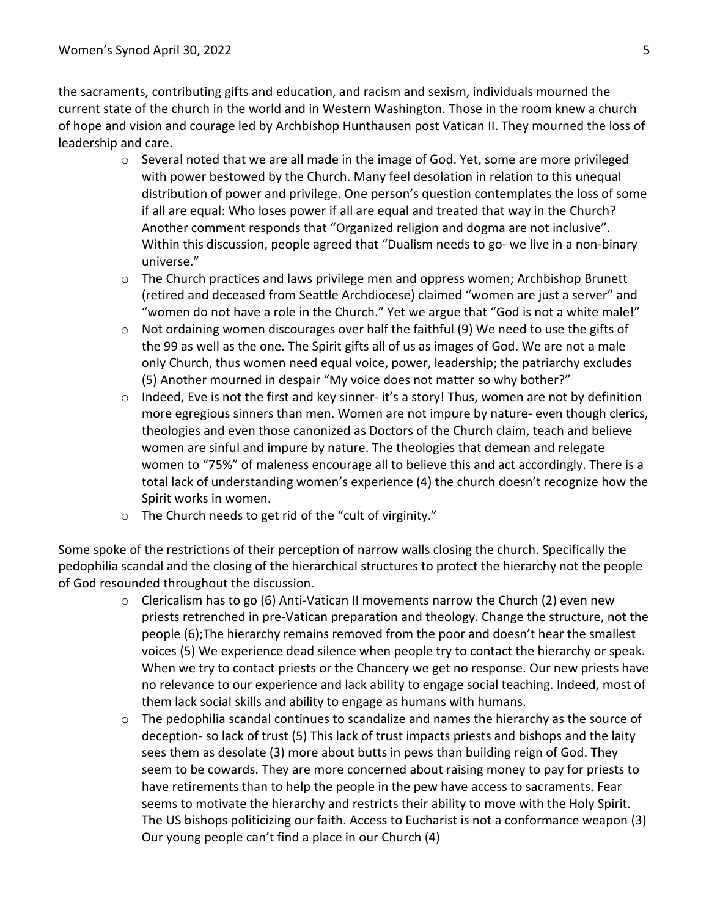the sacraments, contributing gifts and education, and racism and sexism, individuals mourned the current state of the church in the world and in Western Washington. Those in the room knew a church of hope and vision and courage led by Archbishop Hunthausen post Vatican II. They mourned the loss of leadership and care.

- $\circ$  Several noted that we are all made in the image of God. Yet, some are more privileged with power bestowed by the Church. Many feel desolation in relation to this unequal distribution of power and privilege. One person's question contemplates the loss of some if all are equal: Who loses power if all are equal and treated that way in the Church? Another comment responds that "Organized religion and dogma are not inclusive". Within this discussion, people agreed that "Dualism needs to go- we live in a non-binary universe."
- $\circ$  The Church practices and laws privilege men and oppress women; Archbishop Brunett (retired and deceased from Seattle Archdiocese) claimed "women are just a server" and "women do not have a role in the Church." Yet we argue that "God is not a white male!"
- $\circ$  Not ordaining women discourages over half the faithful (9) We need to use the gifts of the 99 as well as the one. The Spirit gifts all of us as images of God. We are not a male only Church, thus women need equal voice, power, leadership; the patriarchy excludes (5) Another mourned in despair "My voice does not matter so why bother?"
- $\circ$  Indeed, Eve is not the first and key sinner- it's a story! Thus, women are not by definition more egregious sinners than men. Women are not impure by nature- even though clerics, theologies and even those canonized as Doctors of the Church claim, teach and believe women are sinful and impure by nature. The theologies that demean and relegate women to "75%" of maleness encourage all to believe this and act accordingly. There is a total lack of understanding women's experience (4) the church doesn't recognize how the Spirit works in women.
- o The Church needs to get rid of the "cult of virginity."

Some spoke of the restrictions of their perception of narrow walls closing the church. Specifically the pedophilia scandal and the closing of the hierarchical structures to protect the hierarchy not the people of God resounded throughout the discussion.

- $\circ$  Clericalism has to go (6) Anti-Vatican II movements narrow the Church (2) even new priests retrenched in pre-Vatican preparation and theology. Change the structure, not the people (6);The hierarchy remains removed from the poor and doesn't hear the smallest voices (5) We experience dead silence when people try to contact the hierarchy or speak. When we try to contact priests or the Chancery we get no response. Our new priests have no relevance to our experience and lack ability to engage social teaching. Indeed, most of them lack social skills and ability to engage as humans with humans.
- o The pedophilia scandal continues to scandalize and names the hierarchy as the source of deception- so lack of trust (5) This lack of trust impacts priests and bishops and the laity sees them as desolate (3) more about butts in pews than building reign of God. They seem to be cowards. They are more concerned about raising money to pay for priests to have retirements than to help the people in the pew have access to sacraments. Fear seems to motivate the hierarchy and restricts their ability to move with the Holy Spirit. The US bishops politicizing our faith. Access to Eucharist is not a conformance weapon (3) Our young people can't find a place in our Church (4)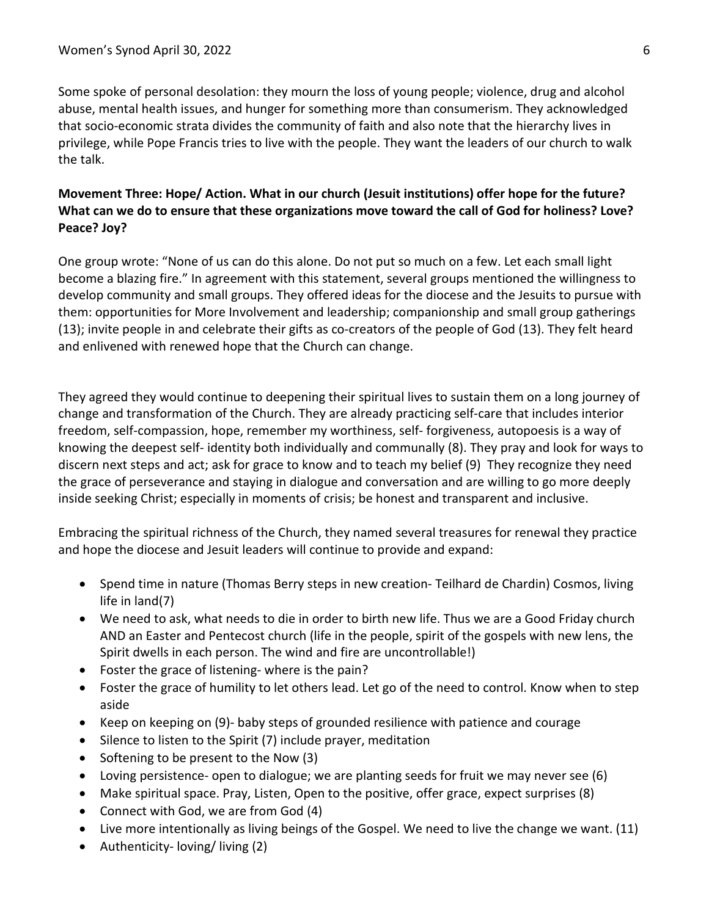Some spoke of personal desolation: they mourn the loss of young people; violence, drug and alcohol abuse, mental health issues, and hunger for something more than consumerism. They acknowledged that socio-economic strata divides the community of faith and also note that the hierarchy lives in privilege, while Pope Francis tries to live with the people. They want the leaders of our church to walk the talk.

## **Movement Three: Hope/ Action. What in our church (Jesuit institutions) offer hope for the future? What can we do to ensure that these organizations move toward the call of God for holiness? Love? Peace? Joy?**

One group wrote: "None of us can do this alone. Do not put so much on a few. Let each small light become a blazing fire." In agreement with this statement, several groups mentioned the willingness to develop community and small groups. They offered ideas for the diocese and the Jesuits to pursue with them: opportunities for More Involvement and leadership; companionship and small group gatherings (13); invite people in and celebrate their gifts as co-creators of the people of God (13). They felt heard and enlivened with renewed hope that the Church can change.

They agreed they would continue to deepening their spiritual lives to sustain them on a long journey of change and transformation of the Church. They are already practicing self-care that includes interior freedom, self-compassion, hope, remember my worthiness, self- forgiveness, autopoesis is a way of knowing the deepest self- identity both individually and communally (8). They pray and look for ways to discern next steps and act; ask for grace to know and to teach my belief (9) They recognize they need the grace of perseverance and staying in dialogue and conversation and are willing to go more deeply inside seeking Christ; especially in moments of crisis; be honest and transparent and inclusive.

Embracing the spiritual richness of the Church, they named several treasures for renewal they practice and hope the diocese and Jesuit leaders will continue to provide and expand:

- Spend time in nature (Thomas Berry steps in new creation- Teilhard de Chardin) Cosmos, living life in land(7)
- We need to ask, what needs to die in order to birth new life. Thus we are a Good Friday church AND an Easter and Pentecost church (life in the people, spirit of the gospels with new lens, the Spirit dwells in each person. The wind and fire are uncontrollable!)
- Foster the grace of listening- where is the pain?
- Foster the grace of humility to let others lead. Let go of the need to control. Know when to step aside
- Keep on keeping on (9)- baby steps of grounded resilience with patience and courage
- Silence to listen to the Spirit (7) include prayer, meditation
- Softening to be present to the Now (3)
- Loving persistence- open to dialogue; we are planting seeds for fruit we may never see (6)
- Make spiritual space. Pray, Listen, Open to the positive, offer grace, expect surprises (8)
- Connect with God, we are from God (4)
- Live more intentionally as living beings of the Gospel. We need to live the change we want. (11)
- Authenticity- loving/ living (2)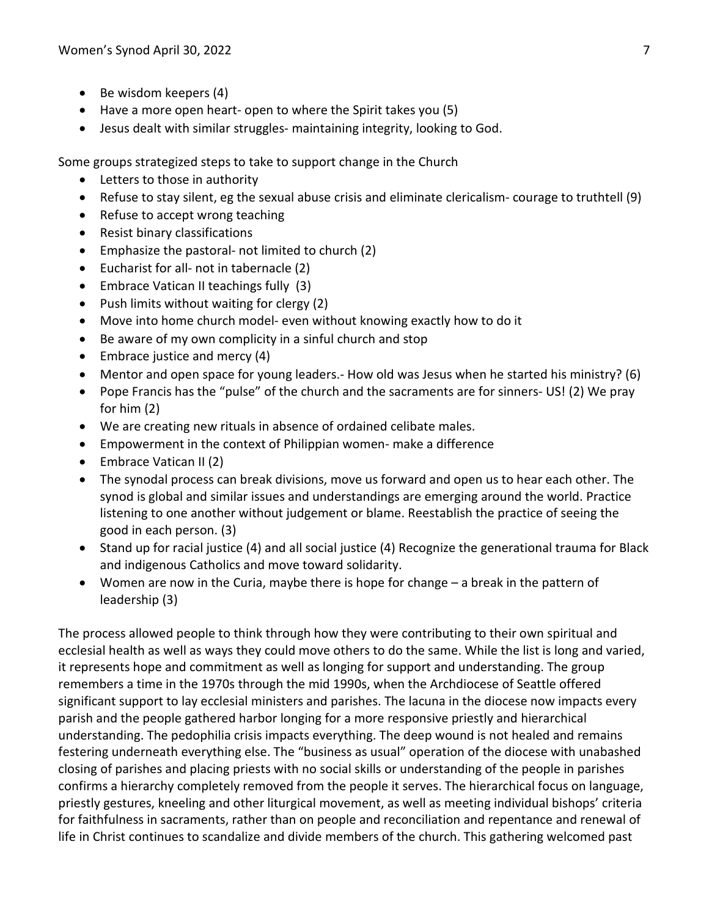- Be wisdom keepers (4)
- Have a more open heart- open to where the Spirit takes you (5)
- Jesus dealt with similar struggles- maintaining integrity, looking to God.

Some groups strategized steps to take to support change in the Church

- Letters to those in authority
- Refuse to stay silent, eg the sexual abuse crisis and eliminate clericalism- courage to truthtell (9)
- Refuse to accept wrong teaching
- Resist binary classifications
- Emphasize the pastoral- not limited to church (2)
- Eucharist for all- not in tabernacle (2)
- Embrace Vatican II teachings fully (3)
- Push limits without waiting for clergy (2)
- Move into home church model- even without knowing exactly how to do it
- Be aware of my own complicity in a sinful church and stop
- Embrace justice and mercy (4)
- Mentor and open space for young leaders.- How old was Jesus when he started his ministry? (6)
- Pope Francis has the "pulse" of the church and the sacraments are for sinners- US! (2) We pray for him (2)
- We are creating new rituals in absence of ordained celibate males.
- Empowerment in the context of Philippian women- make a difference
- Embrace Vatican II (2)
- The synodal process can break divisions, move us forward and open us to hear each other. The synod is global and similar issues and understandings are emerging around the world. Practice listening to one another without judgement or blame. Reestablish the practice of seeing the good in each person. (3)
- Stand up for racial justice (4) and all social justice (4) Recognize the generational trauma for Black and indigenous Catholics and move toward solidarity.
- Women are now in the Curia, maybe there is hope for change a break in the pattern of leadership (3)

The process allowed people to think through how they were contributing to their own spiritual and ecclesial health as well as ways they could move others to do the same. While the list is long and varied, it represents hope and commitment as well as longing for support and understanding. The group remembers a time in the 1970s through the mid 1990s, when the Archdiocese of Seattle offered significant support to lay ecclesial ministers and parishes. The lacuna in the diocese now impacts every parish and the people gathered harbor longing for a more responsive priestly and hierarchical understanding. The pedophilia crisis impacts everything. The deep wound is not healed and remains festering underneath everything else. The "business as usual" operation of the diocese with unabashed closing of parishes and placing priests with no social skills or understanding of the people in parishes confirms a hierarchy completely removed from the people it serves. The hierarchical focus on language, priestly gestures, kneeling and other liturgical movement, as well as meeting individual bishops' criteria for faithfulness in sacraments, rather than on people and reconciliation and repentance and renewal of life in Christ continues to scandalize and divide members of the church. This gathering welcomed past